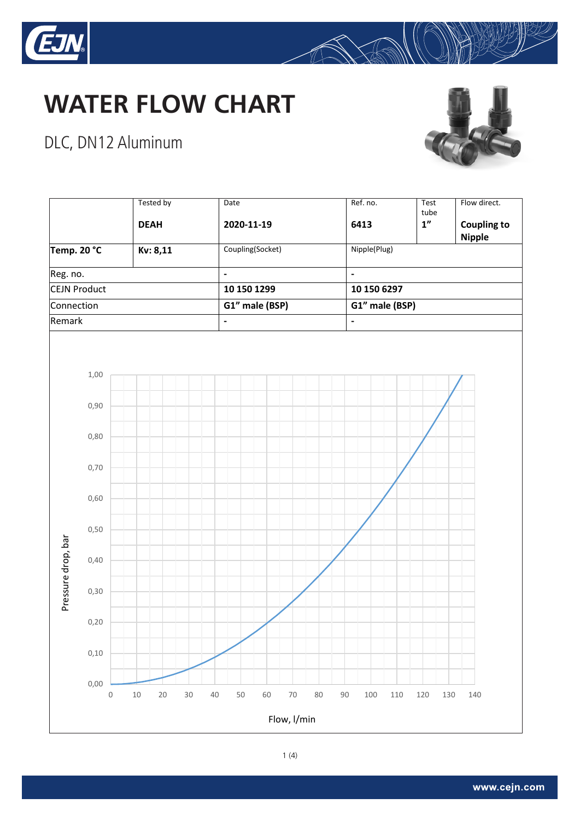





#### DLC, DN12 Aluminum



 $\mathbb{R}$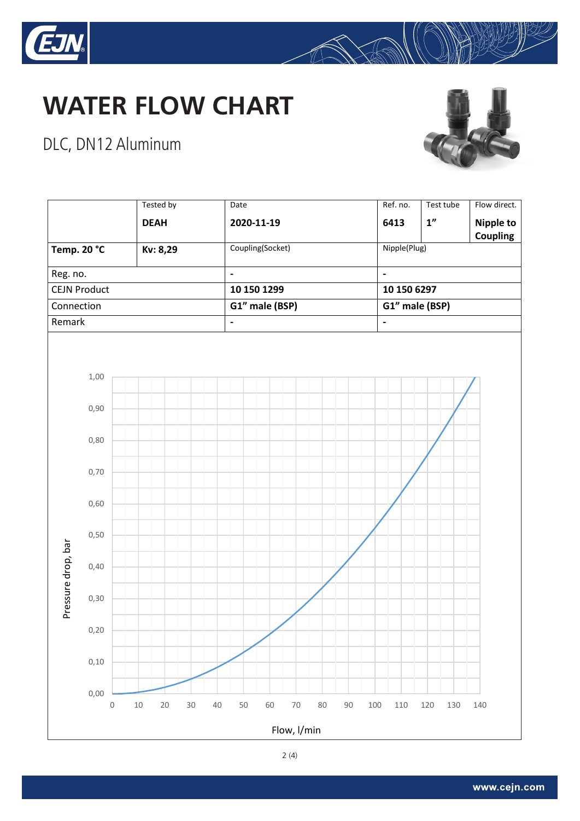



## DLC, DN12 Aluminum





 $\mathbb{R}$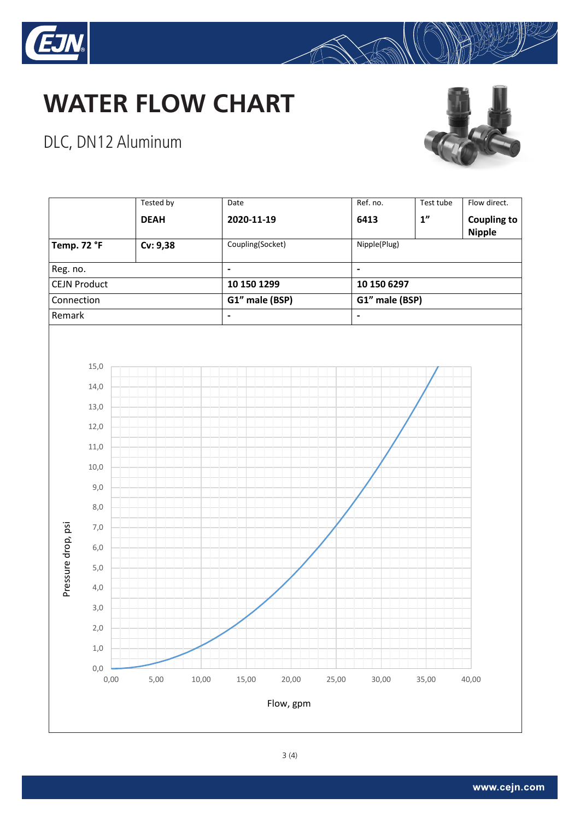



# DLC, DN12 Aluminum





 $\bigotimes$